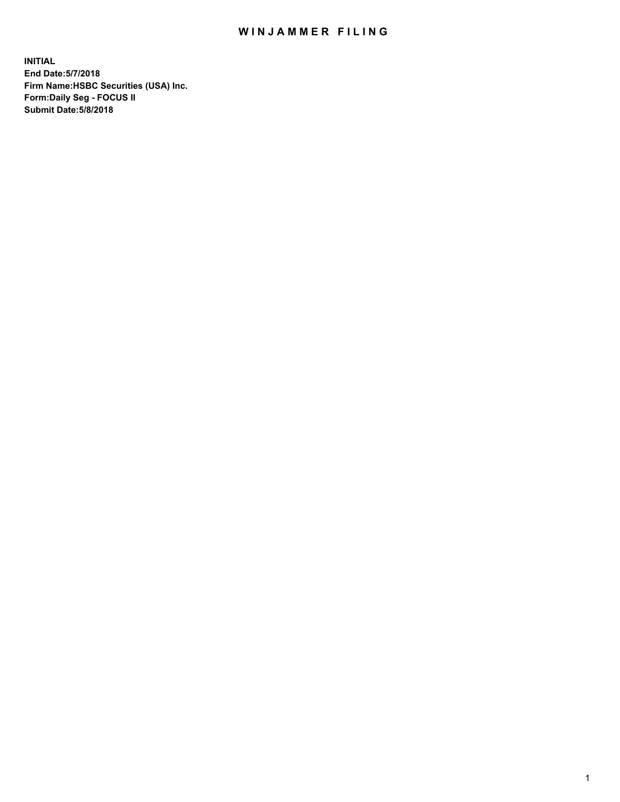## WIN JAMMER FILING

**INITIAL End Date:5/7/2018 Firm Name:HSBC Securities (USA) Inc. Form:Daily Seg - FOCUS II Submit Date:5/8/2018**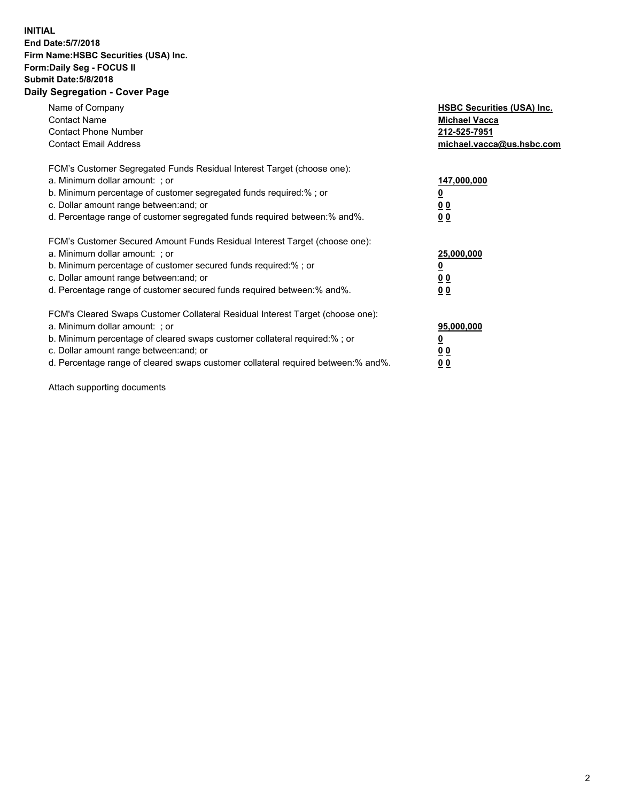## **INITIAL End Date:5/7/2018 Firm Name:HSBC Securities (USA) Inc. Form:Daily Seg - FOCUS II Submit Date:5/8/2018 Daily Segregation - Cover Page**

| Name of Company<br><b>Contact Name</b><br><b>Contact Phone Number</b><br><b>Contact Email Address</b>                                                                                                                                                                                                                          | <b>HSBC Securities (USA) Inc.</b><br><b>Michael Vacca</b><br>212-525-7951<br>michael.vacca@us.hsbc.com |
|--------------------------------------------------------------------------------------------------------------------------------------------------------------------------------------------------------------------------------------------------------------------------------------------------------------------------------|--------------------------------------------------------------------------------------------------------|
| FCM's Customer Segregated Funds Residual Interest Target (choose one):<br>a. Minimum dollar amount: ; or<br>b. Minimum percentage of customer segregated funds required:%; or<br>c. Dollar amount range between: and; or<br>d. Percentage range of customer segregated funds required between:% and%.                          | 147,000,000<br><u>0</u><br><u>00</u><br>00                                                             |
| FCM's Customer Secured Amount Funds Residual Interest Target (choose one):<br>a. Minimum dollar amount: ; or<br>b. Minimum percentage of customer secured funds required:%; or<br>c. Dollar amount range between: and; or<br>d. Percentage range of customer secured funds required between:% and%.                            | 25,000,000<br><u>0</u><br><u>00</u><br>00                                                              |
| FCM's Cleared Swaps Customer Collateral Residual Interest Target (choose one):<br>a. Minimum dollar amount: ; or<br>b. Minimum percentage of cleared swaps customer collateral required:% ; or<br>c. Dollar amount range between: and; or<br>d. Percentage range of cleared swaps customer collateral required between:% and%. | 95,000,000<br><u>0</u><br><u>00</u><br>0 <sub>0</sub>                                                  |

Attach supporting documents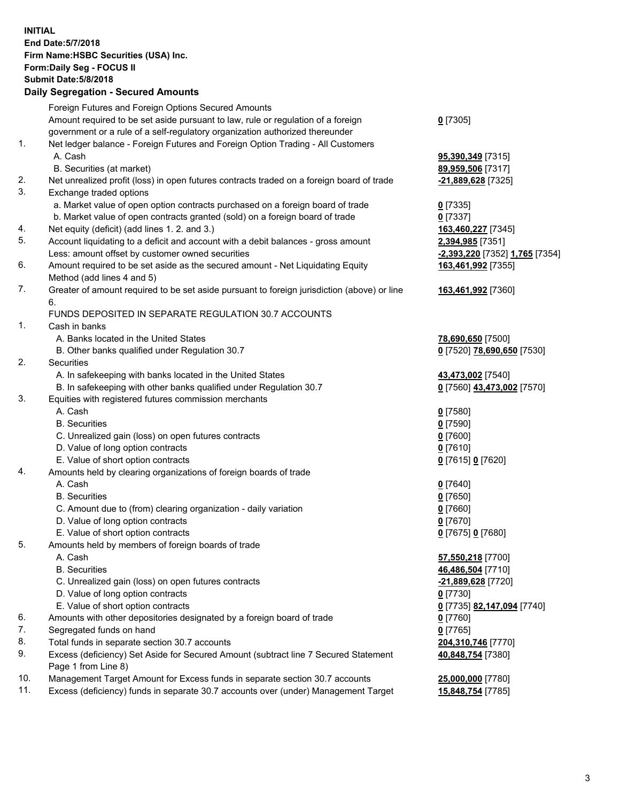**INITIAL End Date:5/7/2018 Firm Name:HSBC Securities (USA) Inc. Form:Daily Seg - FOCUS II Submit Date:5/8/2018 Daily Segregation - Secured Amounts** Foreign Futures and Foreign Options Secured Amounts Amount required to be set aside pursuant to law, rule or regulation of a foreign government or a rule of a self-regulatory organization authorized thereunder **0** [7305] 1. Net ledger balance - Foreign Futures and Foreign Option Trading - All Customers A. Cash **95,390,349** [7315] B. Securities (at market) **89,959,506** [7317] 2. Net unrealized profit (loss) in open futures contracts traded on a foreign board of trade **-21,889,628** [7325] 3. Exchange traded options a. Market value of open option contracts purchased on a foreign board of trade **0** [7335] b. Market value of open contracts granted (sold) on a foreign board of trade **0** [7337] 4. Net equity (deficit) (add lines 1. 2. and 3.) **163,460,227** [7345] 5. Account liquidating to a deficit and account with a debit balances - gross amount **2,394,985** [7351] Less: amount offset by customer owned securities **-2,393,220** [7352] **1,765** [7354] 6. Amount required to be set aside as the secured amount - Net Liquidating Equity Method (add lines 4 and 5) **163,461,992** [7355] 7. Greater of amount required to be set aside pursuant to foreign jurisdiction (above) or line 6. **163,461,992** [7360] FUNDS DEPOSITED IN SEPARATE REGULATION 30.7 ACCOUNTS 1. Cash in banks A. Banks located in the United States **78,690,650** [7500] B. Other banks qualified under Regulation 30.7 **0** [7520] **78,690,650** [7530] 2. Securities A. In safekeeping with banks located in the United States **43,473,002** [7540] B. In safekeeping with other banks qualified under Regulation 30.7 **0** [7560] **43,473,002** [7570] 3. Equities with registered futures commission merchants A. Cash **0** [7580] B. Securities **0** [7590] C. Unrealized gain (loss) on open futures contracts **0** [7600] D. Value of long option contracts **0** [7610] E. Value of short option contracts **0** [7615] **0** [7620] 4. Amounts held by clearing organizations of foreign boards of trade A. Cash **0** [7640] B. Securities **0** [7650] C. Amount due to (from) clearing organization - daily variation **0** [7660] D. Value of long option contracts **0** [7670] E. Value of short option contracts **0** [7675] **0** [7680] 5. Amounts held by members of foreign boards of trade A. Cash **57,550,218** [7700] B. Securities **46,486,504** [7710] C. Unrealized gain (loss) on open futures contracts **-21,889,628** [7720] D. Value of long option contracts **0** [7730] E. Value of short option contracts **0** [7735] **82,147,094** [7740] 6. Amounts with other depositories designated by a foreign board of trade **0** [7760] 7. Segregated funds on hand **0** [7765] 8. Total funds in separate section 30.7 accounts **204,310,746** [7770] 9. Excess (deficiency) Set Aside for Secured Amount (subtract line 7 Secured Statement Page 1 from Line 8) **40,848,754** [7380] 10. Management Target Amount for Excess funds in separate section 30.7 accounts **25,000,000** [7780] 11. Excess (deficiency) funds in separate 30.7 accounts over (under) Management Target **15,848,754** [7785]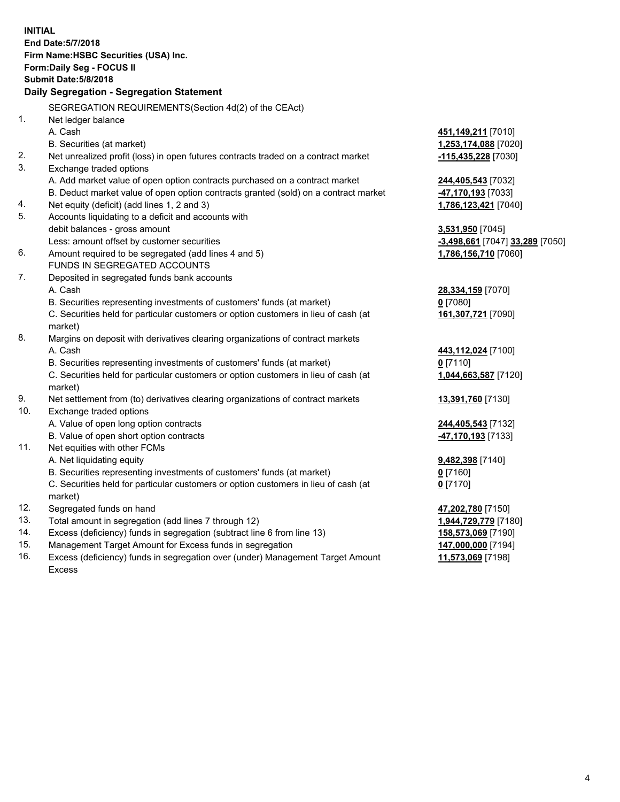| <b>INITIAL</b> | End Date: 5/7/2018                                                                                 |                                                         |  |  |  |  |
|----------------|----------------------------------------------------------------------------------------------------|---------------------------------------------------------|--|--|--|--|
|                | Firm Name: HSBC Securities (USA) Inc.                                                              |                                                         |  |  |  |  |
|                | Form: Daily Seg - FOCUS II                                                                         |                                                         |  |  |  |  |
|                | <b>Submit Date: 5/8/2018</b>                                                                       |                                                         |  |  |  |  |
|                | Daily Segregation - Segregation Statement                                                          |                                                         |  |  |  |  |
|                |                                                                                                    |                                                         |  |  |  |  |
|                | SEGREGATION REQUIREMENTS(Section 4d(2) of the CEAct)                                               |                                                         |  |  |  |  |
| 1.             | Net ledger balance                                                                                 |                                                         |  |  |  |  |
|                | A. Cash                                                                                            | 451,149,211 [7010]                                      |  |  |  |  |
|                | B. Securities (at market)                                                                          | 1,253,174,088 [7020]                                    |  |  |  |  |
| 2.             | Net unrealized profit (loss) in open futures contracts traded on a contract market                 | -115,435,228 [7030]                                     |  |  |  |  |
| 3.             | Exchange traded options                                                                            |                                                         |  |  |  |  |
|                | A. Add market value of open option contracts purchased on a contract market                        | 244,405,543 [7032]                                      |  |  |  |  |
|                | B. Deduct market value of open option contracts granted (sold) on a contract market                | 47,170,193 [7033]                                       |  |  |  |  |
| 4.             | Net equity (deficit) (add lines 1, 2 and 3)                                                        | 1,786,123,421 [7040]                                    |  |  |  |  |
| 5.             | Accounts liquidating to a deficit and accounts with                                                |                                                         |  |  |  |  |
|                | debit balances - gross amount                                                                      | 3,531,950 [7045]                                        |  |  |  |  |
| 6.             | Less: amount offset by customer securities<br>Amount required to be segregated (add lines 4 and 5) | -3,498,661 [7047] 33,289 [7050]<br>1,786,156,710 [7060] |  |  |  |  |
|                | FUNDS IN SEGREGATED ACCOUNTS                                                                       |                                                         |  |  |  |  |
| 7.             | Deposited in segregated funds bank accounts                                                        |                                                         |  |  |  |  |
|                | A. Cash                                                                                            | 28,334,159 [7070]                                       |  |  |  |  |
|                | B. Securities representing investments of customers' funds (at market)                             | $0$ [7080]                                              |  |  |  |  |
|                | C. Securities held for particular customers or option customers in lieu of cash (at                | 161,307,721 [7090]                                      |  |  |  |  |
|                | market)                                                                                            |                                                         |  |  |  |  |
| 8.             | Margins on deposit with derivatives clearing organizations of contract markets                     |                                                         |  |  |  |  |
|                | A. Cash                                                                                            | 443,112,024 [7100]                                      |  |  |  |  |
|                | B. Securities representing investments of customers' funds (at market)                             | $0$ [7110]                                              |  |  |  |  |
|                | C. Securities held for particular customers or option customers in lieu of cash (at                | 1,044,663,587 [7120]                                    |  |  |  |  |
|                | market)                                                                                            |                                                         |  |  |  |  |
| 9.             | Net settlement from (to) derivatives clearing organizations of contract markets                    | 13,391,760 [7130]                                       |  |  |  |  |
| 10.            | Exchange traded options                                                                            |                                                         |  |  |  |  |
|                | A. Value of open long option contracts                                                             | 244,405,543 [7132]                                      |  |  |  |  |
|                | B. Value of open short option contracts                                                            | 47,170,193 [7133]                                       |  |  |  |  |
| 11.            | Net equities with other FCMs                                                                       |                                                         |  |  |  |  |
|                | A. Net liquidating equity                                                                          | 9,482,398 [7140]                                        |  |  |  |  |
|                | B. Securities representing investments of customers' funds (at market)                             | $0$ [7160]                                              |  |  |  |  |
|                | C. Securities held for particular customers or option customers in lieu of cash (at                | $0$ [7170]                                              |  |  |  |  |
|                | market)                                                                                            |                                                         |  |  |  |  |
| 12.            | Segregated funds on hand                                                                           | 47,202,780 [7150]                                       |  |  |  |  |
| 13.            | Total amount in segregation (add lines 7 through 12)                                               | 1,944,729,779 [7180]                                    |  |  |  |  |
| 14.            | Excess (deficiency) funds in segregation (subtract line 6 from line 13)                            | 158,573,069 [7190]                                      |  |  |  |  |
| 15.            | Management Target Amount for Excess funds in segregation                                           | 147,000,000 [7194]                                      |  |  |  |  |

16. Excess (deficiency) funds in segregation over (under) Management Target Amount Excess

**11,573,069** [7198]